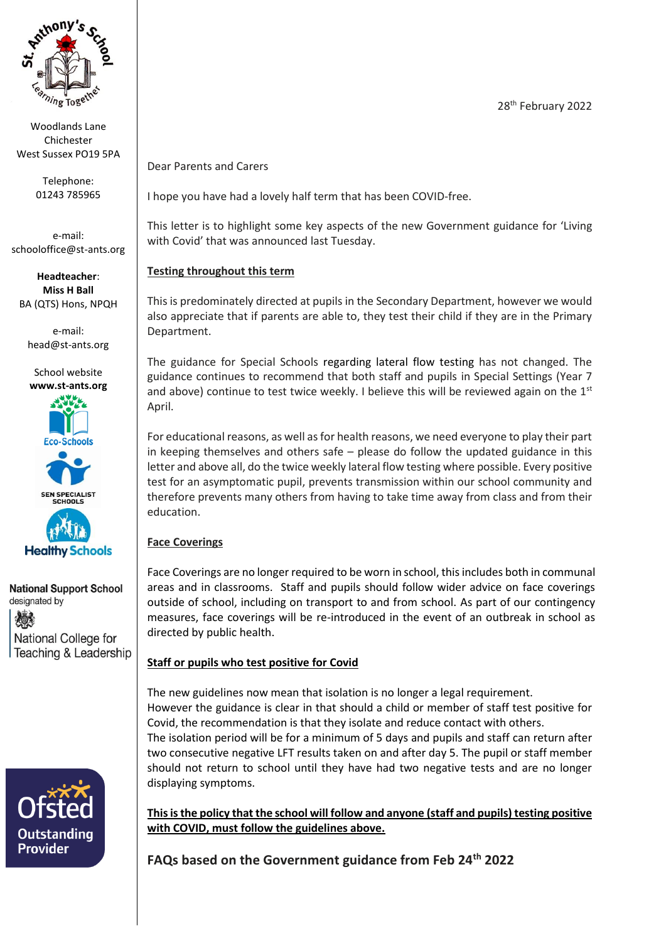

Woodlands Lane Chichester West Sussex PO19 5PA

> Telephone: 01243 785965

e-mail: schooloffice@st-ants.org

**Headteacher**: **Miss H Ball** BA (QTS) Hons, NPQH

e-mail: [head@st-ants.org](mailto:head@st-ants.org)





**National Support School** designated by 烦 National College for

Teaching & Leadership



Dear Parents and Carers

I hope you have had a lovely half term that has been COVID-free.

This letter is to highlight some key aspects of the new Government guidance for 'Living with Covid' that was announced last Tuesday.

# **Testing throughout this term**

This is predominately directed at pupils in the Secondary Department, however we would also appreciate that if parents are able to, they test their child if they are in the Primary Department.

The guidance for Special Schools regarding lateral flow testing has not changed. The guidance continues to recommend that both staff and pupils in Special Settings (Year 7 and above) continue to test twice weekly. I believe this will be reviewed again on the  $1<sup>st</sup>$ April.

For educational reasons, as well as for health reasons, we need everyone to play their part in keeping themselves and others safe – please do follow the updated guidance in this letter and above all, do the twice weekly lateral flow testing where possible. Every positive test for an asymptomatic pupil, prevents transmission within our school community and therefore prevents many others from having to take time away from class and from their education.

# **Face Coverings**

Face Coverings are no longer required to be worn in school, this includes both in communal areas and in classrooms. Staff and pupils should follow wider advice on face coverings outside of school, including on transport to and from school. As part of our contingency measures, face coverings will be re-introduced in the event of an outbreak in school as directed by public health.

# **Staff or pupils who test positive for Covid**

The new guidelines now mean that isolation is no longer a legal requirement. However the guidance is clear in that should a child or member of staff test positive for Covid, the recommendation is that they isolate and reduce contact with others. The isolation period will be for a minimum of 5 days and pupils and staff can return after two consecutive negative LFT results taken on and after day 5. The pupil or staff member should not return to school until they have had two negative tests and are no longer displaying symptoms.

**This is the policy that the school will follow and anyone (staff and pupils) testing positive with COVID, must follow the guidelines above.**

**FAQs based on the Government guidance from Feb 24th 2022**

28<sup>th</sup> February 2022